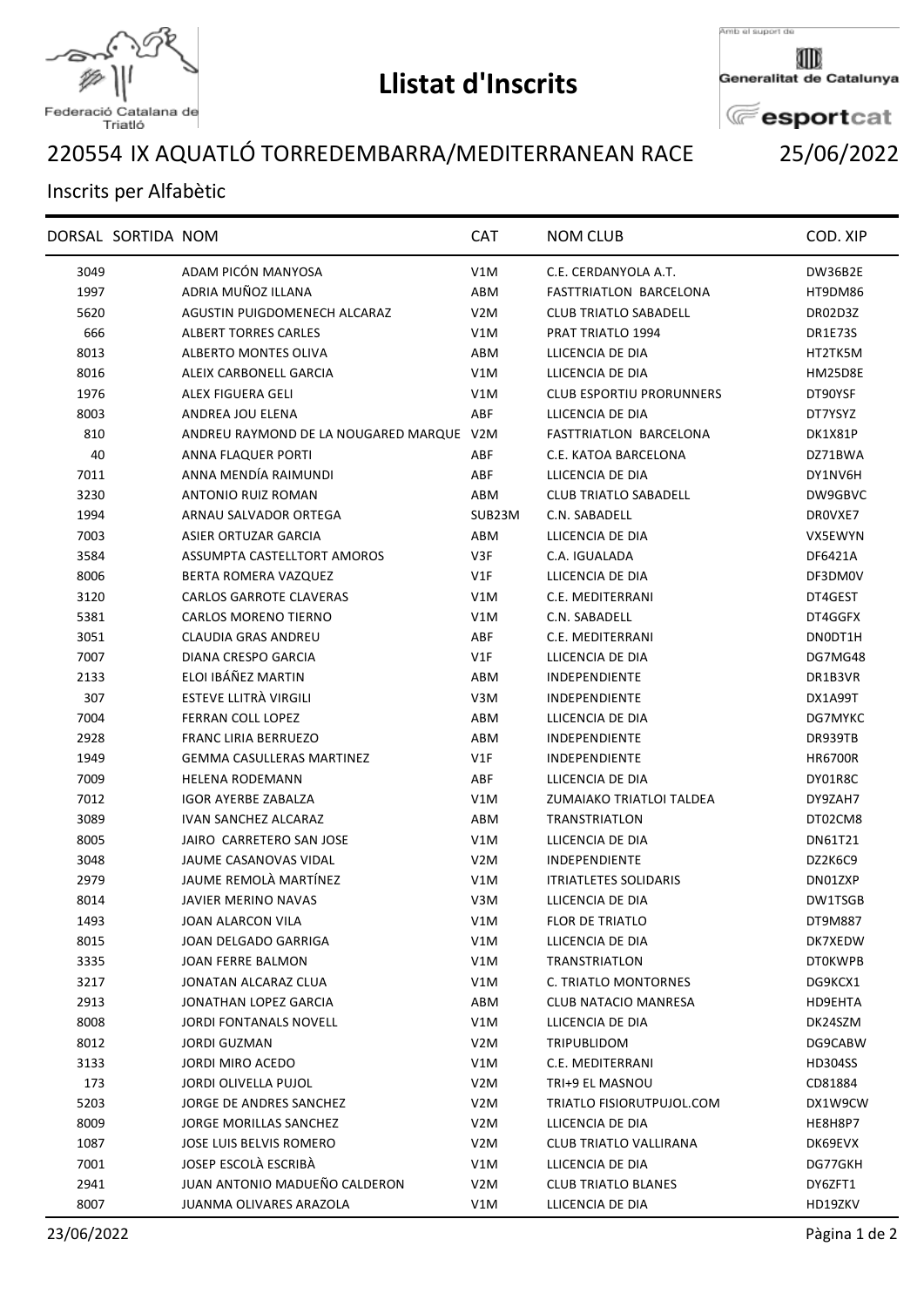

## **Llistat d'Inscrits**

Amb el suport de

Generalitat de Catalunya

**E**esportcat

## IX AQUATLÓ TORREDEMBARRA/MEDITERRANEAN RACE 25/06/2022

## Inscrits per Alfabètic

|      | DORSAL SORTIDA NOM |                                          | <b>CAT</b>       | <b>NOM CLUB</b>                 | COD. XIP       |
|------|--------------------|------------------------------------------|------------------|---------------------------------|----------------|
| 3049 |                    | ADAM PICÓN MANYOSA                       | V1M              | C.E. CERDANYOLA A.T.            | DW36B2E        |
| 1997 |                    | ADRIA MUÑOZ ILLANA                       | ABM              | FASTTRIATLON BARCELONA          | HT9DM86        |
| 5620 |                    | AGUSTIN PUIGDOMENECH ALCARAZ             | V <sub>2</sub> M | <b>CLUB TRIATLO SABADELL</b>    | DR02D3Z        |
| 666  |                    | <b>ALBERT TORRES CARLES</b>              | V1M              | PRAT TRIATLO 1994               | DR1E73S        |
| 8013 |                    | ALBERTO MONTES OLIVA                     | ABM              | LLICENCIA DE DIA                | HT2TK5M        |
| 8016 |                    | ALEIX CARBONELL GARCIA                   | V1M              | LLICENCIA DE DIA                | HM25D8E        |
| 1976 |                    | ALEX FIGUERA GELI                        | V1M              | <b>CLUB ESPORTIU PRORUNNERS</b> | DT90YSF        |
| 8003 |                    | ANDREA JOU ELENA                         | ABF              | LLICENCIA DE DIA                | DT7YSYZ        |
| 810  |                    | ANDREU RAYMOND DE LA NOUGARED MARQUE V2M |                  | <b>FASTTRIATLON BARCELONA</b>   | DK1X81P        |
| 40   |                    | ANNA FLAQUER PORTI                       | ABF              | C.E. KATOA BARCELONA            | DZ71BWA        |
| 7011 |                    | ANNA MENDÍA RAIMUNDI                     | ABF              | LLICENCIA DE DIA                | DY1NV6H        |
| 3230 |                    | ANTONIO RUIZ ROMAN                       | ABM              | <b>CLUB TRIATLO SABADELL</b>    | DW9GBVC        |
| 1994 |                    | ARNAU SALVADOR ORTEGA                    | SUB23M           | C.N. SABADELL                   | DROVXE7        |
| 7003 |                    | ASIER ORTUZAR GARCIA                     | ABM              | LLICENCIA DE DIA                | VX5EWYN        |
| 3584 |                    | ASSUMPTA CASTELLTORT AMOROS              | V3F              | C.A. IGUALADA                   | DF6421A        |
| 8006 |                    | BERTA ROMERA VAZQUEZ                     | V1F              | LLICENCIA DE DIA                | DF3DM0V        |
| 3120 |                    | <b>CARLOS GARROTE CLAVERAS</b>           | V1M              | C.E. MEDITERRANI                | DT4GEST        |
| 5381 |                    | <b>CARLOS MORENO TIERNO</b>              | V1M              | C.N. SABADELL                   | DT4GGFX        |
| 3051 |                    | <b>CLAUDIA GRAS ANDREU</b>               | ABF              | C.E. MEDITERRANI                | DN0DT1H        |
| 7007 |                    | <b>DIANA CRESPO GARCIA</b>               | VIF              | LLICENCIA DE DIA                | DG7MG48        |
| 2133 |                    | ELOI IBÁÑEZ MARTIN                       | ABM              | INDEPENDIENTE                   | DR1B3VR        |
| 307  |                    | ESTEVE LLITRÀ VIRGILI                    | V3M              | <b>INDEPENDIENTE</b>            | DX1A99T        |
| 7004 |                    | FERRAN COLL LOPEZ                        | ABM              | LLICENCIA DE DIA                | DG7MYKC        |
| 2928 |                    | <b>FRANC LIRIA BERRUEZO</b>              | ABM              | INDEPENDIENTE                   | DR939TB        |
| 1949 |                    | GEMMA CASULLERAS MARTINEZ                | V1F              | <b>INDEPENDIENTE</b>            | <b>HR6700R</b> |
| 7009 |                    | <b>HELENA RODEMANN</b>                   | ABF              | LLICENCIA DE DIA                | DY01R8C        |
| 7012 |                    | <b>IGOR AYERBE ZABALZA</b>               | V1M              | ZUMAIAKO TRIATLOI TALDEA        | DY9ZAH7        |
| 3089 |                    | <b>IVAN SANCHEZ ALCARAZ</b>              | ABM              | <b>TRANSTRIATLON</b>            | DT02CM8        |
| 8005 |                    | JAIRO CARRETERO SAN JOSE                 | V1M              | LLICENCIA DE DIA                | DN61T21        |
| 3048 |                    | JAUME CASANOVAS VIDAL                    | V <sub>2</sub> M | <b>INDEPENDIENTE</b>            | DZ2K6C9        |
| 2979 |                    | JAUME REMOLÀ MARTÍNEZ                    | V1M              | <b>ITRIATLETES SOLIDARIS</b>    | DN01ZXP        |
| 8014 |                    | <b>JAVIER MERINO NAVAS</b>               | V3M              | LLICENCIA DE DIA                | DW1TSGB        |
| 1493 |                    | JOAN ALARCON VILA                        | V1M              | FLOR DE TRIATLO                 | DT9M887        |
| 8015 |                    | JOAN DELGADO GARRIGA                     | V1M              | LLICENCIA DE DIA                | DK7XEDW        |
| 3335 |                    | JOAN FERRE BALMON                        | V1M              | <b>TRANSTRIATLON</b>            | <b>DTOKWPB</b> |
| 3217 |                    | JONATAN ALCARAZ CLUA                     | V1M              | C. TRIATLO MONTORNES            | DG9KCX1        |
| 2913 |                    | JONATHAN LOPEZ GARCIA                    | ABM              | CLUB NATACIO MANRESA            | HD9EHTA        |
| 8008 |                    | JORDI FONTANALS NOVELL                   | V1M              | LLICENCIA DE DIA                | DK24SZM        |
| 8012 |                    | <b>JORDI GUZMAN</b>                      | V <sub>2</sub> M | <b>TRIPUBLIDOM</b>              | DG9CABW        |
| 3133 |                    | JORDI MIRO ACEDO                         | V1M              | C.E. MEDITERRANI                | <b>HD304SS</b> |
| 173  |                    | JORDI OLIVELLA PUJOL                     | V2M              | TRI+9 EL MASNOU                 | CD81884        |
| 5203 |                    | JORGE DE ANDRES SANCHEZ                  | V <sub>2</sub> M | TRIATLO FISIORUTPUJOL.COM       | DX1W9CW        |
| 8009 |                    | JORGE MORILLAS SANCHEZ                   | V <sub>2</sub> M | LLICENCIA DE DIA                | HE8H8P7        |
| 1087 |                    | JOSE LUIS BELVIS ROMERO                  | V <sub>2</sub> M | CLUB TRIATLO VALLIRANA          | DK69EVX        |
| 7001 |                    | JOSEP ESCOLÀ ESCRIBÀ                     | V1M              | LLICENCIA DE DIA                | DG77GKH        |
| 2941 |                    | JUAN ANTONIO MADUEÑO CALDERON            | V2M              | <b>CLUB TRIATLO BLANES</b>      | DY6ZFT1        |
| 8007 |                    | JUANMA OLIVARES ARAZOLA                  | V1M              | LLICENCIA DE DIA                | HD19ZKV        |



Federació Catalana de Triatló